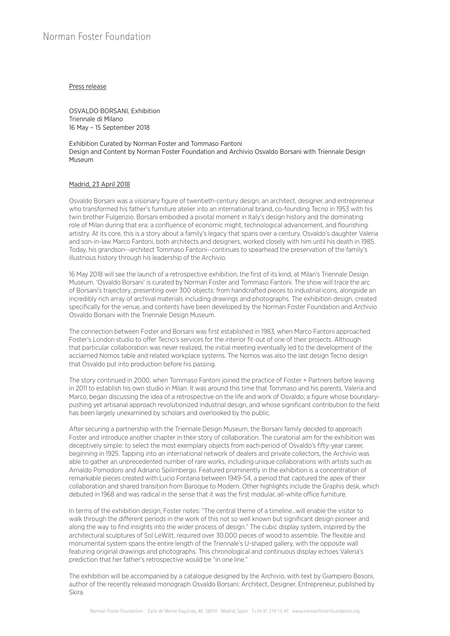### Press release

OSVALDO BORSANI, Exhibition Triennale di Milano 16 May – 15 September 2018

Exhibition Curated by Norman Foster and Tommaso Fantoni Design and Content by Norman Foster Foundation and Archivio Osvaldo Borsani with Triennale Design Museum

# Madrid, 23 April 2018

Osvaldo Borsani was a visionary figure of twentieth-century design; an architect, designer, and entrepreneur who transformed his father's furniture atelier into an international brand, co-founding Tecno in 1953 with his twin brother Fulgenzio. Borsani embodied a pivotal moment in Italy's design history and the dominating role of Milan during that era: a confluence of economic might, technological advancement, and flourishing artistry. At its core, this is a story about a family's legacy that spans over a century. Osvaldo's daughter Valeria and son-in-law Marco Fantoni, both architects and designers, worked closely with him until his death in 1985. Today, his grandson--architect Tommaso Fantoni--continues to spearhead the preservation of the family's illustrious history through his leadership of the Archivio.

16 May 2018 will see the launch of a retrospective exhibition, the first of its kind, at Milan's Triennale Design Museum. 'Osvaldo Borsani' is curated by Norman Foster and Tommaso Fantoni. The show will trace the arc of Borsani's trajectory, presenting over 300 objects: from handcrafted pieces to industrial icons, alongside an incredibly rich array of archival materials including drawings and photographs. The exhibition design, created specifically for the venue, and contents have been developed by the Norman Foster Foundation and Archivio Osvaldo Borsani with the Triennale Design Museum.

The connection between Foster and Borsani was first established in 1983, when Marco Fantoni approached Foster's London studio to offer Tecno's services for the interior fit-out of one of their projects. Although that particular collaboration was never realized, the initial meeting eventually led to the development of the acclaimed Nomos table and related workplace systems. The Nomos was also the last design Tecno design that Osvaldo put into production before his passing.

The story continued in 2000, when Tommaso Fantoni joined the practice of Foster + Partners before leaving in 2011 to establish his own studio in Milan. It was around this time that Tommaso and his parents, Valeria and Marco, began discussing the idea of a retrospective on the life and work of Osvaldo; a figure whose boundarypushing yet artisanal approach revolutionized industrial design, and whose significant contribution to the field has been largely unexamined by scholars and overlooked by the public.

After securing a partnership with the Triennale Design Museum, the Borsani family decided to approach Foster and introduce another chapter in their story of collaboration. The curatorial aim for the exhibition was deceptively simple: to select the most exemplary objects from each period of Osvaldo's fifty-year career, beginning in 1925. Tapping into an international network of dealers and private collectors, the Archivio was able to gather an unprecedented number of rare works, including unique collaborations with artists such as Arnaldo Pomodoro and Adriano Spilimbergo. Featured prominently in the exhibition is a concentration of remarkable pieces created with Lucio Fontana between 1949-54, a period that captured the apex of their collaboration and shared transition from Baroque to Modern. Other highlights include the Graphis desk, which debuted in 1968 and was radical in the sense that it was the first modular, all-white office furniture.

In terms of the exhibition design, Foster notes: "The central theme of a timeline…will enable the visitor to walk through the different periods in the work of this not so well known but significant design pioneer and along the way to find insights into the wider process of design." The cubic display system, inspired by the architectural sculptures of Sol LeWitt, required over 30,000 pieces of wood to assemble. The flexible and monumental system spans the entire length of the Triennale's U-shaped gallery, with the opposite wall featuring original drawings and photographs. This chronological and continuous display echoes Valeria's prediction that her father's retrospective would be "in one line."

The exhibition will be accompanied by a catalogue designed by the Archivio, with text by Giampiero Bosoni, author of the recently released monograph Osvaldo Borsani: Architect, Designer, Entrepreneur, published by Skira.